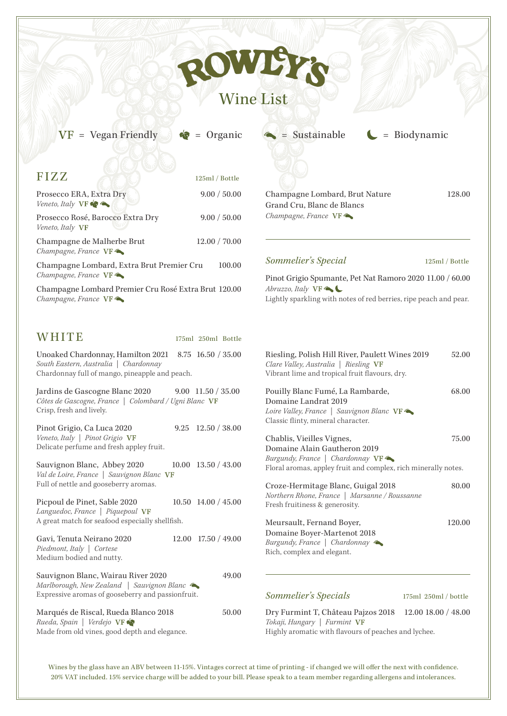## Wine List

**SWIE** 

 $VF = Vegar$  Friendly  $\bigcirc$  = Organic  $\bigcirc$  = Sustainable  $\bigcirc$  = Biodynamic

| <b>FIZZ</b>                                                                                                                                     | 125ml / Bottle        |                                         |
|-------------------------------------------------------------------------------------------------------------------------------------------------|-----------------------|-----------------------------------------|
| Prosecco ERA, Extra Dry<br>Veneto, Italy $VF \leftarrow$                                                                                        | 9.00 / 50.00          | Champ<br>Grand                          |
| Prosecco Rosé, Barocco Extra Dry<br>Veneto, Italy VF                                                                                            | 9.00 / 50.00          | Champ                                   |
| Champagne de Malherbe Brut<br>Champagne, France VF                                                                                              | 12.00 / 70.00         |                                         |
| Champagne Lombard, Extra Brut Premier Cru<br>Champagne, France VF                                                                               | 100.00                | <b>Somm</b><br>Pinot (                  |
| Champagne Lombard Premier Cru Rosé Extra Brut 120.00<br>Champagne, France VF                                                                    |                       | Abruzzo<br>Lightly                      |
| WHITE                                                                                                                                           | 175ml 250ml Bottle    |                                         |
| Unoaked Chardonnay, Hamilton 2021 8.75 16.50 / 35.00<br>South Eastern, Australia   Chardonnay<br>Chardonnay full of mango, pineapple and peach. |                       | Rieslin<br>Clare V<br>Vibrant           |
| Jardins de Gascogne Blanc 2020<br>Côtes de Gascogne, France   Colombard / Ugni Blanc VF<br>Crisp, fresh and lively.                             | $9.00$ 11.50 / 35.00  | Pouilly<br>Domai<br>Loire Vo<br>Classic |
| Pinot Grigio, Ca Luca 2020<br>Veneto, Italy   Pinot Grigio VF<br>Delicate perfume and fresh appley fruit.                                       | 12.50 / 38.00<br>9.25 | Chabli<br>Domai                         |
| Sauvignon Blanc, Abbey 2020<br>Val de Loire, France   Sauvignon Blanc VF<br>Full of nettle and gooseberry aromas.                               | $10.00$ 13.50 / 43.00 | Burgun<br>Floral a                      |
| Picpoul de Pinet, Sable 2020<br>Languedoc, France   Piquepoul VF                                                                                | 10.50 14.00 / 45.00   | Croze-<br>Norther<br>Fresh fi           |
| A great match for seafood especially shellfish.                                                                                                 |                       | <b>Meurs</b>                            |

| Gavi, Tenuta Neirano 2020                         | $12.00$ 17.50 / 49.00 |
|---------------------------------------------------|-----------------------|
| Piedmont, Italy   Cortese                         |                       |
| Medium bodied and nutty.                          |                       |
| Sauvignon Blanc, Wairau River 2020                | 49.00                 |
| Marlborough, New Zealand   Sauvignon Blanc        |                       |
| Expressive aromas of gooseberry and passionfruit. |                       |
|                                                   |                       |

Marqués de Riscal, Rueda Blanco 2018 50.00 *Rueda, Spain | Verdejo* Made from old vines, good depth and elegance.

pagne Lombard, Brut Nature 128.00 Cru, Blanc de Blancs *Champagne, France* VF

## *Sommelier's Special* 125ml / Bottle

Grigio Spumante, Pet Nat Ramoro 2020 11.00 / 60.00 *b*, *Italy* **VF** sparkling with notes of red berries, ripe peach and pear.

| Riesling, Polish Hill River, Paulett Wines 2019<br>Clare Valley, Australia   Riesling VF<br>Vibrant lime and tropical fruit flavours, dry.                               | 52.00                |  |  |  |
|--------------------------------------------------------------------------------------------------------------------------------------------------------------------------|----------------------|--|--|--|
| Pouilly Blanc Fumé, La Rambarde,<br>Domaine Landrat 2019<br>Loire Valley, France   Sauvignon Blanc VF<br>Classic flinty, mineral character.                              | 68.00                |  |  |  |
| Chablis, Vieilles Vignes,<br>75.00<br>Domaine Alain Gautheron 2019<br>Burgundy, France   Chardonnay VF<br>Floral aromas, appley fruit and complex, rich minerally notes. |                      |  |  |  |
| Croze-Hermitage Blanc, Guigal 2018<br>80.00<br>Northern Rhone, France   Marsanne / Roussanne<br>Fresh fruitiness & generosity.                                           |                      |  |  |  |
| Meursault, Fernand Boyer,<br>Domaine Boyer-Martenot 2018<br>Burgundy, France   Chardonnay<br>Rich, complex and elegant.                                                  | 120.00               |  |  |  |
| Sommelier's Specials                                                                                                                                                     | 175ml 250ml / bottle |  |  |  |
| Dry Furmint T, Château Pajzos 2018<br>Tokaji, Hungary   Furmint VF                                                                                                       | 12.00 18.00 / 48.00  |  |  |  |

Highly aromatic with flavours of peaches and lychee.

Wines by the glass have an ABV between 11-15%. Vintages correct at time of printing - if changed we will offer the next with confidence. 20% VAT included. 15% service charge will be added to your bill. Please speak to a team member regarding allergens and intolerances.